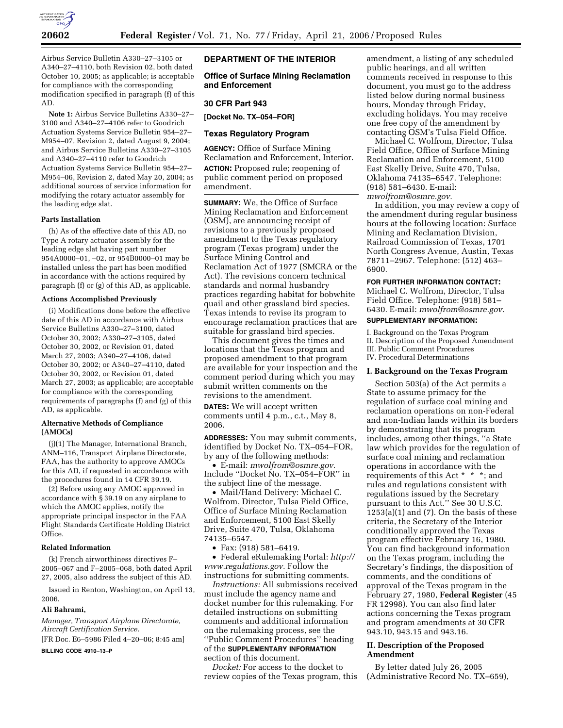

Airbus Service Bulletin A330–27–3105 or A340–27–4110, both Revision 02, both dated October 10, 2005; as applicable; is acceptable for compliance with the corresponding modification specified in paragraph (f) of this AD.

**Note 1:** Airbus Service Bulletins A330–27– 3100 and A340–27–4106 refer to Goodrich Actuation Systems Service Bulletin 954–27– M954–07, Revision 2, dated August 9, 2004; and Airbus Service Bulletins A330–27–3105 and A340–27–4110 refer to Goodrich Actuation Systems Service Bulletin 954–27– M954–06, Revision 2, dated May 20, 2004; as additional sources of service information for modifying the rotary actuator assembly for the leading edge slat.

# **Parts Installation**

(h) As of the effective date of this AD, no Type A rotary actuator assembly for the leading edge slat having part number 954A0000–01, –02, or 954B0000–01 may be installed unless the part has been modified in accordance with the actions required by paragraph (f) or (g) of this AD, as applicable.

#### **Actions Accomplished Previously**

(i) Modifications done before the effective date of this AD in accordance with Airbus Service Bulletins A330–27–3100, dated October 30, 2002; A330–27–3105, dated October 30, 2002, or Revision 01, dated March 27, 2003; A340–27–4106, dated October 30, 2002; or A340–27–4110, dated October 30, 2002, or Revision 01, dated March 27, 2003; as applicable; are acceptable for compliance with the corresponding requirements of paragraphs (f) and (g) of this AD, as applicable.

#### **Alternative Methods of Compliance (AMOCs)**

(j)(1) The Manager, International Branch, ANM–116, Transport Airplane Directorate, FAA, has the authority to approve AMOCs for this AD, if requested in accordance with the procedures found in 14 CFR 39.19.

(2) Before using any AMOC approved in accordance with § 39.19 on any airplane to which the AMOC applies, notify the appropriate principal inspector in the FAA Flight Standards Certificate Holding District Office.

#### **Related Information**

(k) French airworthiness directives F– 2005–067 and F–2005–068, both dated April 27, 2005, also address the subject of this AD.

Issued in Renton, Washington, on April 13, 2006.

#### **Ali Bahrami,**

*Manager, Transport Airplane Directorate, Aircraft Certification Service.* 

[FR Doc. E6–5986 Filed 4–20–06; 8:45 am]

**BILLING CODE 4910–13–P** 

### **DEPARTMENT OF THE INTERIOR**

**Office of Surface Mining Reclamation and Enforcement** 

#### **30 CFR Part 943**

**[Docket No. TX–054–FOR]** 

## **Texas Regulatory Program**

**AGENCY:** Office of Surface Mining Reclamation and Enforcement, Interior. **ACTION:** Proposed rule; reopening of public comment period on proposed amendment.

**SUMMARY:** We, the Office of Surface Mining Reclamation and Enforcement (OSM), are announcing receipt of revisions to a previously proposed amendment to the Texas regulatory program (Texas program) under the Surface Mining Control and Reclamation Act of 1977 (SMCRA or the Act). The revisions concern technical standards and normal husbandry practices regarding habitat for bobwhite quail and other grassland bird species. Texas intends to revise its program to encourage reclamation practices that are suitable for grassland bird species.

This document gives the times and locations that the Texas program and proposed amendment to that program are available for your inspection and the comment period during which you may submit written comments on the revisions to the amendment.

**DATES:** We will accept written comments until 4 p.m., c.t., May 8, 2006.

**ADDRESSES:** You may submit comments, identified by Docket No. TX–054–FOR, by any of the following methods:

• E-mail: *mwolfrom@osmre.gov*. Include ''Docket No. TX–054–FOR'' in the subject line of the message.

• Mail/Hand Delivery: Michael C. Wolfrom, Director, Tulsa Field Office, Office of Surface Mining Reclamation and Enforcement, 5100 East Skelly Drive, Suite 470, Tulsa, Oklahoma 74135–6547.

• Fax: (918) 581–6419.

• Federal eRulemaking Portal: *http:// www.regulations.gov*. Follow the instructions for submitting comments.

*Instructions:* All submissions received must include the agency name and docket number for this rulemaking. For detailed instructions on submitting comments and additional information on the rulemaking process, see the ''Public Comment Procedures'' heading of the **SUPPLEMENTARY INFORMATION** section of this document.

*Docket:* For access to the docket to review copies of the Texas program, this

amendment, a listing of any scheduled public hearings, and all written comments received in response to this document, you must go to the address listed below during normal business hours, Monday through Friday, excluding holidays. You may receive one free copy of the amendment by contacting OSM's Tulsa Field Office.

Michael C. Wolfrom, Director, Tulsa Field Office, Office of Surface Mining Reclamation and Enforcement, 5100 East Skelly Drive, Suite 470, Tulsa, Oklahoma 74135–6547. Telephone: (918) 581–6430. E-mail: *mwolfrom@osmre.gov.* 

In addition, you may review a copy of the amendment during regular business hours at the following location: Surface Mining and Reclamation Division, Railroad Commission of Texas, 1701 North Congress Avenue, Austin, Texas 78711–2967. Telephone: (512) 463– 6900.

## **FOR FURTHER INFORMATION CONTACT:**

Michael C. Wolfrom, Director, Tulsa Field Office. Telephone: (918) 581– 6430. E-mail: *mwolfrom@osmre.gov.* 

# **SUPPLEMENTARY INFORMATION:**

I. Background on the Texas Program II. Description of the Proposed Amendment III. Public Comment Procedures IV. Procedural Determinations

#### **I. Background on the Texas Program**

Section 503(a) of the Act permits a State to assume primacy for the regulation of surface coal mining and reclamation operations on non-Federal and non-Indian lands within its borders by demonstrating that its program includes, among other things, ''a State law which provides for the regulation of surface coal mining and reclamation operations in accordance with the requirements of this Act \* \* \*; and rules and regulations consistent with regulations issued by the Secretary pursuant to this Act.'' See 30 U.S.C.  $1253(a)(1)$  and  $(7)$ . On the basis of these criteria, the Secretary of the Interior conditionally approved the Texas program effective February 16, 1980. You can find background information on the Texas program, including the Secretary's findings, the disposition of comments, and the conditions of approval of the Texas program in the February 27, 1980, **Federal Register** (45 FR 12998). You can also find later actions concerning the Texas program and program amendments at 30 CFR 943.10, 943.15 and 943.16.

# **II. Description of the Proposed Amendment**

By letter dated July 26, 2005 (Administrative Record No. TX–659),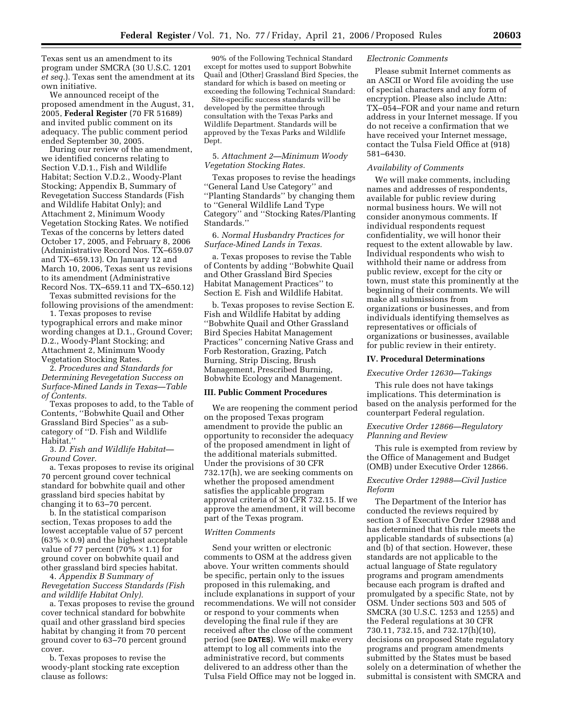Texas sent us an amendment to its program under SMCRA (30 U.S.C. 1201 *et seq.*). Texas sent the amendment at its own initiative.

We announced receipt of the proposed amendment in the August, 31, 2005, **Federal Register** (70 FR 51689) and invited public comment on its adequacy. The public comment period ended September 30, 2005.

During our review of the amendment, we identified concerns relating to Section V.D.1., Fish and Wildlife Habitat; Section V.D.2., Woody-Plant Stocking; Appendix B, Summary of Revegetation Success Standards (Fish and Wildlife Habitat Only); and Attachment 2, Minimum Woody Vegetation Stocking Rates. We notified Texas of the concerns by letters dated October 17, 2005, and February 8, 2006 (Administrative Record Nos. TX–659.07 and TX–659.13). On January 12 and March 10, 2006, Texas sent us revisions to its amendment (Administrative Record Nos. TX–659.11 and TX–650.12)

Texas submitted revisions for the following provisions of the amendment:

1. Texas proposes to revise typographical errors and make minor wording changes at D.1., Ground Cover; D.2., Woody-Plant Stocking; and Attachment 2, Minimum Woody Vegetation Stocking Rates.

2. *Procedures and Standards for Determining Revegetation Success on Surface-Mined Lands in Texas—Table of Contents.* 

Texas proposes to add, to the Table of Contents, ''Bobwhite Quail and Other Grassland Bird Species'' as a subcategory of ''D. Fish and Wildlife Habitat.''

3. *D. Fish and Wildlife Habitat— Ground Cover.* 

a. Texas proposes to revise its original 70 percent ground cover technical standard for bobwhite quail and other grassland bird species habitat by changing it to 63–70 percent.

b. In the statistical comparison section, Texas proposes to add the lowest acceptable value of 57 percent  $(63\% \times 0.9)$  and the highest acceptable value of 77 percent (70%  $\times$  1.1) for ground cover on bobwhite quail and other grassland bird species habitat.

4. *Appendix B Summary of Revegetation Success Standards (Fish and wildlife Habitat Only).* 

a. Texas proposes to revise the ground cover technical standard for bobwhite quail and other grassland bird species habitat by changing it from 70 percent ground cover to 63–70 percent ground cover.

b. Texas proposes to revise the woody-plant stocking rate exception clause as follows:

90% of the Following Technical Standard except for mottes used to support Bobwhite Quail and [Other] Grassland Bird Species, the standard for which is based on meeting or exceeding the following Technical Standard:

Site-specific success standards will be developed by the permittee through consultation with the Texas Parks and Wildlife Department. Standards will be approved by the Texas Parks and Wildlife Dept.

#### 5. *Attachment 2—Minimum Woody Vegetation Stocking Rates.*

Texas proposes to revise the headings ''General Land Use Category'' and ''Planting Standards'' by changing them to ''General Wildlife Land Type Category'' and ''Stocking Rates/Planting Standards.''

## 6. *Normal Husbandry Practices for Surface-Mined Lands in Texas.*

a. Texas proposes to revise the Table of Contents by adding ''Bobwhite Quail and Other Grassland Bird Species Habitat Management Practices'' to Section E. Fish and Wildlife Habitat.

b. Texas proposes to revise Section E. Fish and Wildlife Habitat by adding ''Bobwhite Quail and Other Grassland Bird Species Habitat Management Practices'' concerning Native Grass and Forb Restoration, Grazing, Patch Burning, Strip Discing, Brush Management, Prescribed Burning, Bobwhite Ecology and Management.

#### **III. Public Comment Procedures**

We are reopening the comment period on the proposed Texas program amendment to provide the public an opportunity to reconsider the adequacy of the proposed amendment in light of the additional materials submitted. Under the provisions of 30 CFR 732.17(h), we are seeking comments on whether the proposed amendment satisfies the applicable program approval criteria of 30 CFR 732.15. If we approve the amendment, it will become part of the Texas program.

#### *Written Comments*

Send your written or electronic comments to OSM at the address given above. Your written comments should be specific, pertain only to the issues proposed in this rulemaking, and include explanations in support of your recommendations. We will not consider or respond to your comments when developing the final rule if they are received after the close of the comment period (see **DATES**). We will make every attempt to log all comments into the administrative record, but comments delivered to an address other than the Tulsa Field Office may not be logged in.

#### *Electronic Comments*

Please submit Internet comments as an ASCII or Word file avoiding the use of special characters and any form of encryption. Please also include Attn: TX–054–FOR and your name and return address in your Internet message. If you do not receive a confirmation that we have received your Internet message, contact the Tulsa Field Office at (918) 581–6430.

## *Availability of Comments*

We will make comments, including names and addresses of respondents, available for public review during normal business hours. We will not consider anonymous comments. If individual respondents request confidentiality, we will honor their request to the extent allowable by law. Individual respondents who wish to withhold their name or address from public review, except for the city or town, must state this prominently at the beginning of their comments. We will make all submissions from organizations or businesses, and from individuals identifying themselves as representatives or officials of organizations or businesses, available for public review in their entirety.

## **IV. Procedural Determinations**

#### *Executive Order 12630—Takings*

This rule does not have takings implications. This determination is based on the analysis performed for the counterpart Federal regulation.

## *Executive Order 12866—Regulatory Planning and Review*

This rule is exempted from review by the Office of Management and Budget (OMB) under Executive Order 12866.

## *Executive Order 12988—Civil Justice Reform*

The Department of the Interior has conducted the reviews required by section 3 of Executive Order 12988 and has determined that this rule meets the applicable standards of subsections (a) and (b) of that section. However, these standards are not applicable to the actual language of State regulatory programs and program amendments because each program is drafted and promulgated by a specific State, not by OSM. Under sections 503 and 505 of SMCRA (30 U.S.C. 1253 and 1255) and the Federal regulations at 30 CFR 730.11, 732.15, and 732.17(h)(10), decisions on proposed State regulatory programs and program amendments submitted by the States must be based solely on a determination of whether the submittal is consistent with SMCRA and